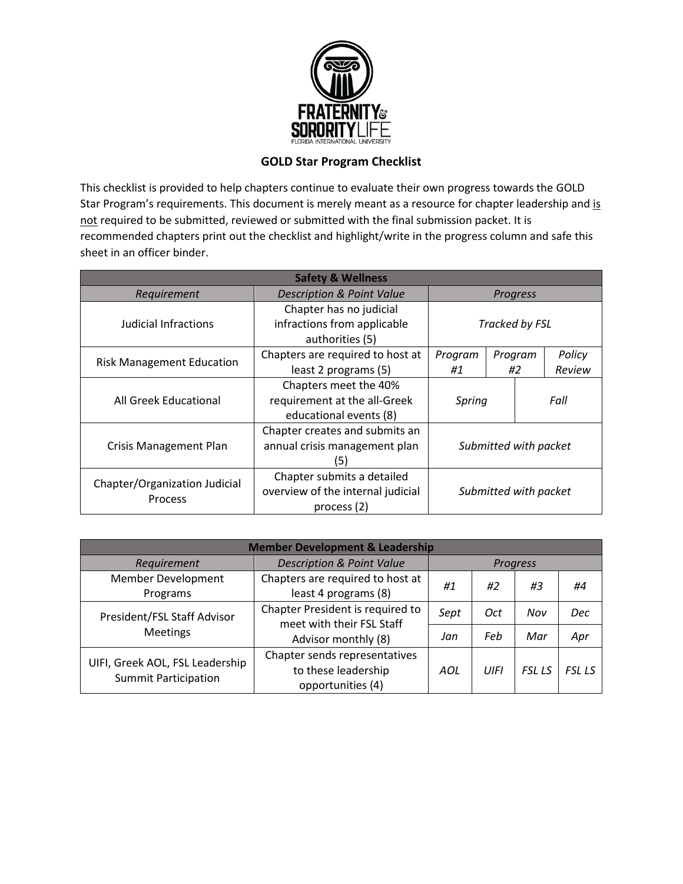

## **GOLD Star Program Checklist**

This checklist is provided to help chapters continue to evaluate their own progress towards the GOLD Star Program's requirements. This document is merely meant as a resource for chapter leadership and is not required to be submitted, reviewed or submitted with the final submission packet. It is recommended chapters print out the checklist and highlight/write in the progress column and safe this sheet in an officer binder.

| <b>Safety &amp; Wellness</b>             |                                      |                       |    |         |        |
|------------------------------------------|--------------------------------------|-----------------------|----|---------|--------|
| Requirement                              | <b>Description &amp; Point Value</b> | <b>Progress</b>       |    |         |        |
|                                          | Chapter has no judicial              |                       |    |         |        |
| Judicial Infractions                     | infractions from applicable          | Tracked by FSL        |    |         |        |
|                                          | authorities (5)                      |                       |    |         |        |
| <b>Risk Management Education</b>         | Chapters are required to host at     | Program               |    | Program | Policy |
|                                          | least 2 programs (5)                 | #1                    | #2 |         | Review |
|                                          | Chapters meet the 40%                | Fall<br>Spring        |    |         |        |
| All Greek Educational                    | requirement at the all-Greek         |                       |    |         |        |
|                                          | educational events (8)               |                       |    |         |        |
|                                          | Chapter creates and submits an       |                       |    |         |        |
| <b>Crisis Management Plan</b>            | annual crisis management plan        | Submitted with packet |    |         |        |
|                                          | (5)                                  |                       |    |         |        |
| Chapter/Organization Judicial<br>Process | Chapter submits a detailed           |                       |    |         |        |
|                                          | overview of the internal judicial    | Submitted with packet |    |         |        |
|                                          | process (2)                          |                       |    |         |        |

| <b>Member Development &amp; Leadership</b>                     |                                                                           |                 |      |               |               |
|----------------------------------------------------------------|---------------------------------------------------------------------------|-----------------|------|---------------|---------------|
| Requirement                                                    | <b>Description &amp; Point Value</b>                                      | <b>Progress</b> |      |               |               |
| Member Development<br>Programs                                 | Chapters are required to host at<br>least 4 programs (8)                  | #1              | #2   | #3            | #4            |
| President/FSL Staff Advisor<br><b>Meetings</b>                 | Chapter President is required to<br>meet with their FSL Staff             | Sept            | 0ct  | Nov           | Dec           |
|                                                                | Advisor monthly (8)                                                       | Jan             | Feb  | Mar           | Apr           |
| UIFI, Greek AOL, FSL Leadership<br><b>Summit Participation</b> | Chapter sends representatives<br>to these leadership<br>opportunities (4) | AOL             | UIFI | <b>FSL LS</b> | <b>FSL LS</b> |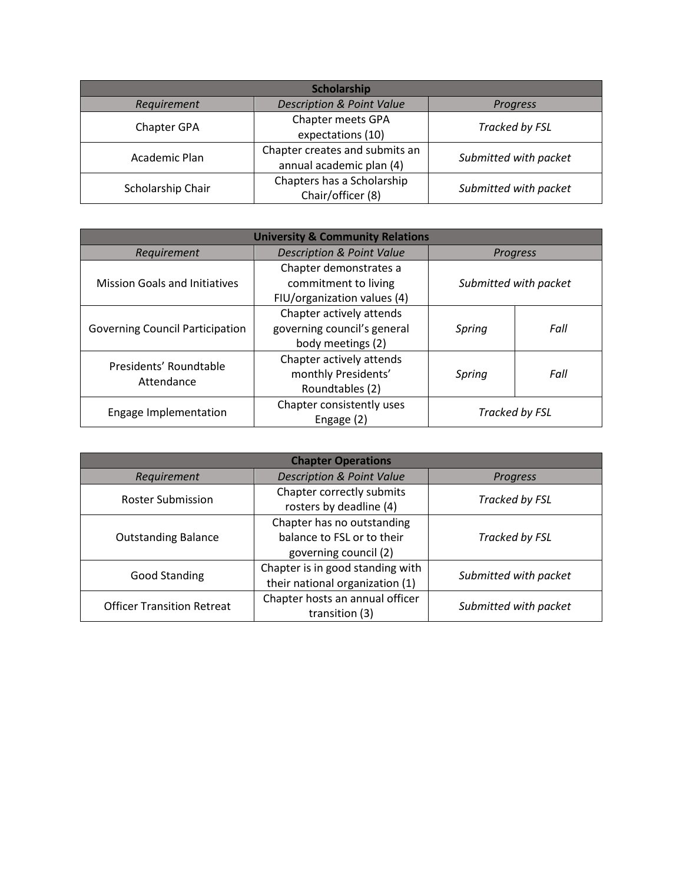| Scholarship       |                                                            |                       |  |  |
|-------------------|------------------------------------------------------------|-----------------------|--|--|
| Requirement       | <b>Description &amp; Point Value</b>                       | Progress              |  |  |
| Chapter GPA       | Chapter meets GPA<br>expectations (10)                     | Tracked by FSL        |  |  |
| Academic Plan     | Chapter creates and submits an<br>annual academic plan (4) | Submitted with packet |  |  |
| Scholarship Chair | Chapters has a Scholarship<br>Chair/officer (8)            | Submitted with packet |  |  |

| <b>University &amp; Community Relations</b> |                                                                               |                       |      |
|---------------------------------------------|-------------------------------------------------------------------------------|-----------------------|------|
| Requirement                                 | <b>Description &amp; Point Value</b>                                          | <b>Progress</b>       |      |
| <b>Mission Goals and Initiatives</b>        | Chapter demonstrates a<br>commitment to living<br>FIU/organization values (4) | Submitted with packet |      |
| <b>Governing Council Participation</b>      | Chapter actively attends<br>governing council's general<br>body meetings (2)  | Spring                | Fall |
| Presidents' Roundtable<br>Attendance        | Chapter actively attends<br>monthly Presidents'<br>Roundtables (2)            | Spring                | Fall |
| Engage Implementation                       | Chapter consistently uses<br>Engage (2)                                       | Tracked by FSL        |      |

| <b>Chapter Operations</b>         |                                                                                   |                       |  |  |
|-----------------------------------|-----------------------------------------------------------------------------------|-----------------------|--|--|
| Requirement                       | <b>Description &amp; Point Value</b>                                              | Progress              |  |  |
| <b>Roster Submission</b>          | Chapter correctly submits<br>rosters by deadline (4)                              | Tracked by FSL        |  |  |
| <b>Outstanding Balance</b>        | Chapter has no outstanding<br>balance to FSL or to their<br>governing council (2) | Tracked by FSL        |  |  |
| <b>Good Standing</b>              | Chapter is in good standing with<br>their national organization (1)               | Submitted with packet |  |  |
| <b>Officer Transition Retreat</b> | Chapter hosts an annual officer<br>transition (3)                                 | Submitted with packet |  |  |